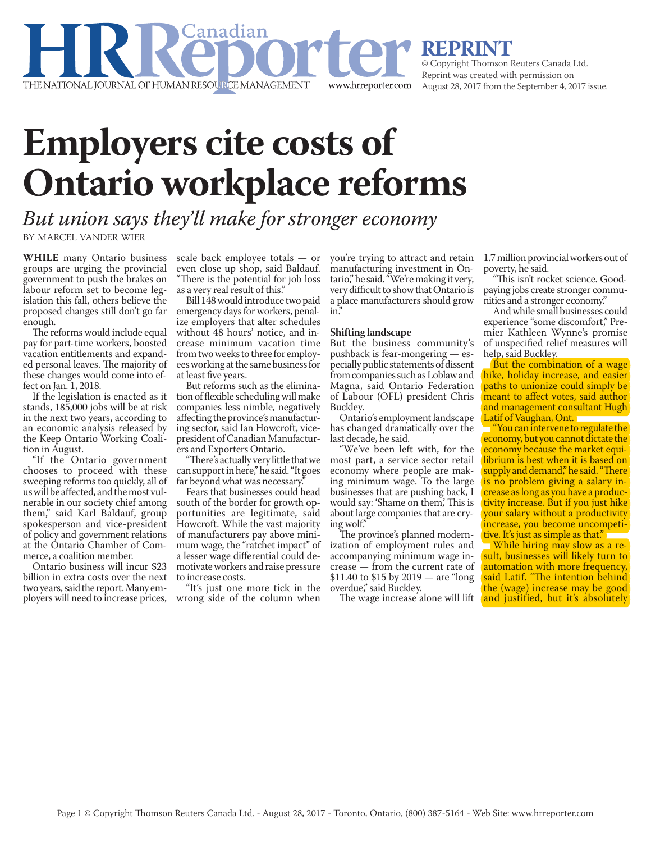**REPRINT**<br>© Copyright Thomson Reuters Canada Ltd. Reprint was created with permission on August 28, 2017 from the September 4, 2017 issue.

# **Employers cite costs of Ontario workplace reforms**

*But union says they'll make for stronger economy* BY MARCEL VANDER WIER

Canadian

THE NATIONAL JOURNAL OF HUMAN RESOURCE MANAGEMENT

**WHILE** many Ontario business groups are urging the provincial government to push the brakes on labour reform set to become legislation this fall, others believe the proposed changes still don't go far enough.

The reforms would include equal pay for part-time workers, boosted vacation entitlements and expanded personal leaves. The majority of these changes would come into effect on Jan. 1, 2018.

If the legislation is enacted as it stands, 185,000 jobs will be at risk in the next two years, according to an economic analysis released by the Keep Ontario Working Coalition in August.

"If the Ontario government chooses to proceed with these sweeping reforms too quickly, all of us will be affected, and the most vulnerable in our society chief among them," said Karl Baldauf, group spokesperson and vice-president of policy and government relations at the Ontario Chamber of Commerce, a coalition member.

Ontario business will incur \$23 billion in extra costs over the next two years, said the report. Many employers will need to increase prices,

scale back employee totals — or even close up shop, said Baldauf. "There is the potential for job loss as a very real result of this."

Bill 148 would introduce two paid emergency days for workers, penalize employers that alter schedules without 48 hours' notice, and increase minimum vacation time from two weeks to three for employees working at the same business for at least five years.

But reforms such as the elimination of flexible scheduling will make companies less nimble, negatively affecting the province's manufacturing sector, said Ian Howcroft, vicepresident of Canadian Manufacturers and Exporters Ontario.

"There's actually very little that we can support in here," he said. "It goes far beyond what was necessary."

Fears that businesses could head south of the border for growth opportunities are legitimate, said Howcroft. While the vast majority of manufacturers pay above minimum wage, the "ratchet impact" of a lesser wage differential could demotivate workers and raise pressure to increase costs.

"It's just one more tick in the wrong side of the column when you're trying to attract and retain manufacturing investment in Ontario," he said. "We're making it very, very difficult to show that Ontario is a place manufacturers should grow in."

#### **Shifting landscape**

www.hrreporter.com

But the business community's pushback is fear-mongering — especially public statements of dissent from companies such as Loblaw and Magna, said Ontario Federation of Labour (OFL) president Chris Buckley.

Ontario's employment landscape has changed dramatically over the last decade, he said.

"We've been left with, for the most part, a service sector retail economy where people are making minimum wage. To the large businesses that are pushing back, I would say: 'Shame on them,' This is about large companies that are crying wolf."

The province's planned modernization of employment rules and accompanying minimum wage increase — from the current rate of \$11.40 to \$15 by 2019 — are "long overdue," said Buckley.

The wage increase alone will lift

1.7 million provincial workers out of poverty, he said.

"This isn't rocket science. Goodpaying jobs create stronger communities and a stronger economy."

And while small businesses could experience "some discomfort," Premier Kathleen Wynne's promise of unspecified relief measures will help, said Buckley.

But the combination of a wage hike, holiday increase, and easier paths to unionize could simply be meant to affect votes, said author and management consultant Hugh Latif of Vaughan, Ont.

<u>"</u> "You can intervene to regulate the economy, but you cannot dictate the economy because the market equilibrium is best when it is based on supply and demand," he said. "There is no problem giving a salary increase as long as you have a productivity increase. But if you just hike your salary without a productivity increase, you become uncompetitive. It's just as simple as that."

While hiring may slow as a result, businesses will likely turn to automation with more frequency, said Latif. "The intention behind the (wage) increase may be good and justified, but it's absolutely